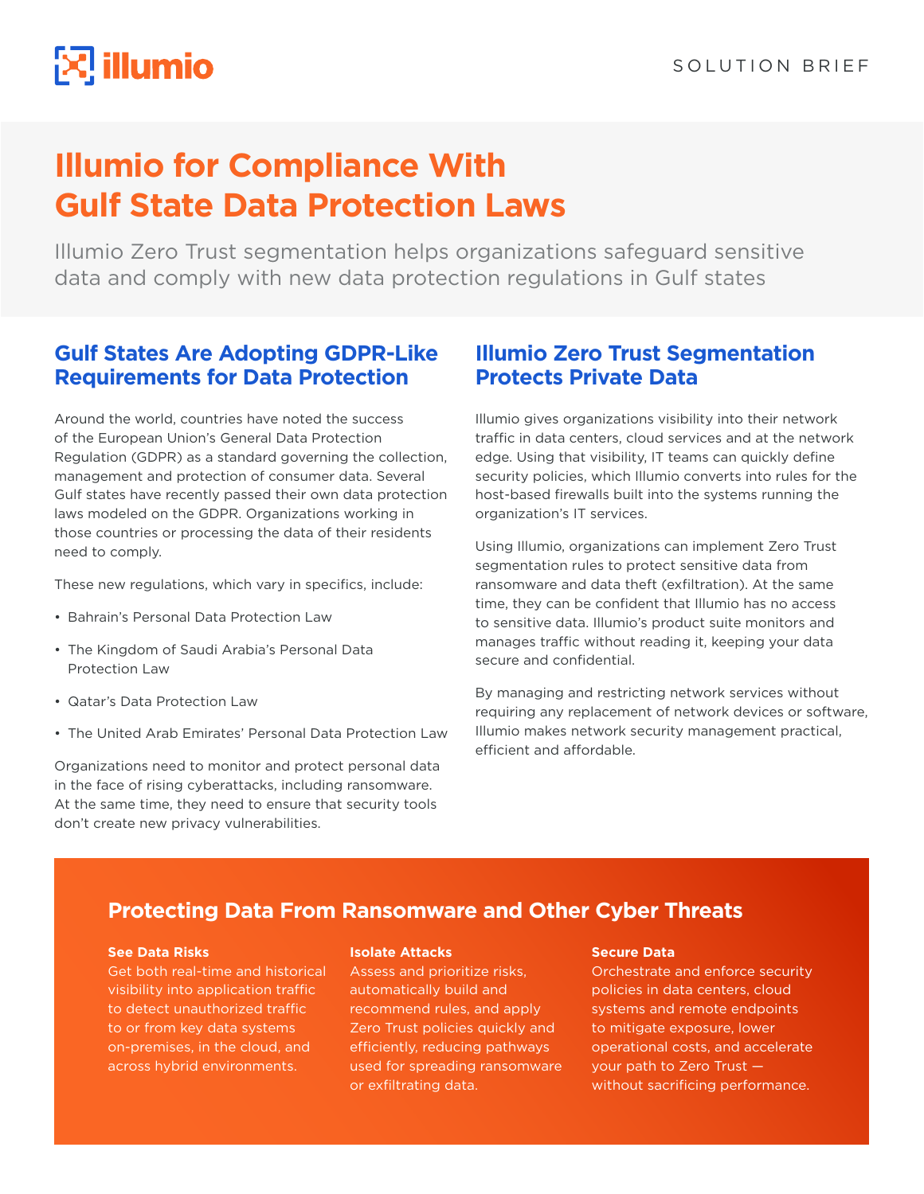# $\mathbb{R}$  illumio

## **Illumio for Compliance With Gulf State Data Protection Laws**

Illumio Zero Trust segmentation helps organizations safeguard sensitive data and comply with new data protection regulations in Gulf states

## **Gulf States Are Adopting GDPR-Like Requirements for Data Protection**

Around the world, countries have noted the success of the European Union's General Data Protection Regulation (GDPR) as a standard governing the collection, management and protection of consumer data. Several Gulf states have recently passed their own data protection laws modeled on the GDPR. Organizations working in those countries or processing the data of their residents need to comply.

These new regulations, which vary in specifics, include:

- Bahrain's Personal Data Protection Law
- The Kingdom of Saudi Arabia's Personal Data Protection Law
- Qatar's Data Protection Law
- The United Arab Emirates' Personal Data Protection Law

Organizations need to monitor and protect personal data in the face of rising cyberattacks, including ransomware. At the same time, they need to ensure that security tools don't create new privacy vulnerabilities.

## **Illumio Zero Trust Segmentation Protects Private Data**

Illumio gives organizations visibility into their network traffic in data centers, cloud services and at the network edge. Using that visibility, IT teams can quickly define security policies, which Illumio converts into rules for the host-based firewalls built into the systems running the organization's IT services.

Using Illumio, organizations can implement Zero Trust segmentation rules to protect sensitive data from ransomware and data theft (exfiltration). At the same time, they can be confident that Illumio has no access to sensitive data. Illumio's product suite monitors and manages traffic without reading it, keeping your data secure and confidential.

By managing and restricting network services without requiring any replacement of network devices or software, Illumio makes network security management practical, efficient and affordable.

## **Protecting Data From Ransomware and Other Cyber Threats**

#### **See Data Risks**

Get both real-time and historical visibility into application traffic to detect unauthorized traffic to or from key data systems on-premises, in the cloud, and across hybrid environments.

#### **Isolate Attacks**

Assess and prioritize risks, automatically build and recommend rules, and apply Zero Trust policies quickly and efficiently, reducing pathways used for spreading ransomware or exfiltrating data.

#### **Secure Data**

Orchestrate and enforce security policies in data centers, cloud systems and remote endpoints to mitigate exposure, lower operational costs, and accelerate your path to Zero Trust without sacrificing performance.